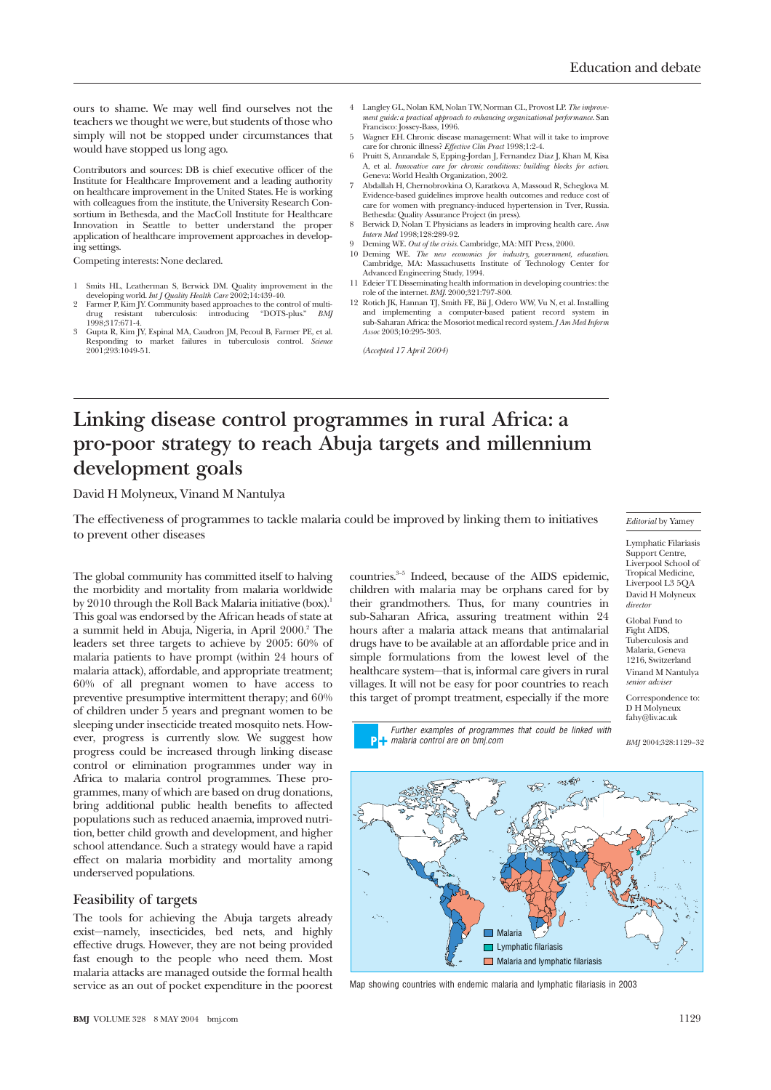ours to shame. We may well find ourselves not the teachers we thought we were, but students of those who simply will not be stopped under circumstances that would have stopped us long ago.

Contributors and sources: DB is chief executive officer of the Institute for Healthcare Improvement and a leading authority on healthcare improvement in the United States. He is working with colleagues from the institute, the University Research Consortium in Bethesda, and the MacColl Institute for Healthcare Innovation in Seattle to better understand the proper application of healthcare improvement approaches in developing settings.

Competing interests: None declared.

- 1 Smits HL, Leatherman S, Berwick DM. Quality improvement in the developing world. *Int J Quality Health Care* 2002;14:439-40.
- 2 Farmer P, Kim JY. Community based approaches to the control of multiresistant tuberculosis: introducing "DOTS-plus." *BMJ* drug resistant<br>1998:317:671-4.
- 3 Gupta R, Kim JY, Espinal MA, Caudron JM, Pecoul B, Farmer PE, et al. Responding to market failures in tuberculosis control. *Science* 2001;293:1049-51.
- 4 Langley GL, Nolan KM, Nolan TW, Norman CL, Provost LP. *The improvement guide: a practical approach to enhancing organizational performance*. San Francisco: Jossey-Bass, 1996.
- 5 Wagner EH. Chronic disease management: What will it take to improve care for chronic illness? *Effective Clin Pract* 1998;1:2-4.
- 6 Pruitt S, Annandale S, Epping-Jordan J, Fernandez Diaz J, Khan M, Kisa A, et al. *Innovative care for chronic conditions: building blocks for action*. Geneva: World Health Organization, 2002. 7 Abdallah H, Chernobrovkina O, Karatkova A, Massoud R, Scheglova M.
- Evidence-based guidelines improve health outcomes and reduce cost of care for women with pregnancy-induced hypertension in Tver, Russia. Bethesda: Quality Assurance Project (in press).
- 8 Berwick D, Nolan T. Physicians as leaders in improving health care. *Ann Intern Med* 1998;128:289-92.
- 9 Deming WE. *Out of the crisis*. Cambridge, MA: MIT Press, 2000.
- 10 Deming WE. *The new economics for industry, government, education*. Cambridge, MA: Massachusetts Institute of Technology Center for Advanced Engineering Study, 1994.
- 11 Edeier TT. Disseminating health information in developing countries: the role of the internet. *BMJ*. 2000;321:797-800.
- 12 Rotich JK, Hannan TJ, Smith FE, Bii J, Odero WW, Vu N, et al. Installing and implementing a computer-based patient record system in sub-Saharan Africa: the Mosoriot medical record system. *J Am Med Inform Assoc* 2003;10:295-303.

*(Accepted 17 April 2004)*

# **Linking disease control programmes in rural Africa: a pro-poor strategy to reach Abuja targets and millennium development goals**

David H Molyneux, Vinand M Nantulya

The effectiveness of programmes to tackle malaria could be improved by linking them to initiatives to prevent other diseases

The global community has committed itself to halving the morbidity and mortality from malaria worldwide by 2010 through the Roll Back Malaria initiative (box).<sup>1</sup> This goal was endorsed by the African heads of state at a summit held in Abuja, Nigeria, in April 2000.<sup>2</sup> The leaders set three targets to achieve by 2005: 60% of malaria patients to have prompt (within 24 hours of malaria attack), affordable, and appropriate treatment; 60% of all pregnant women to have access to preventive presumptive intermittent therapy; and 60% of children under 5 years and pregnant women to be sleeping under insecticide treated mosquito nets. However, progress is currently slow. We suggest how progress could be increased through linking disease control or elimination programmes under way in Africa to malaria control programmes. These programmes, many of which are based on drug donations, bring additional public health benefits to affected populations such as reduced anaemia, improved nutrition, better child growth and development, and higher school attendance. Such a strategy would have a rapid effect on malaria morbidity and mortality among underserved populations.

#### **Feasibility of targets**

The tools for achieving the Abuja targets already exist—namely, insecticides, bed nets, and highly effective drugs. However, they are not being provided fast enough to the people who need them. Most malaria attacks are managed outside the formal health service as an out of pocket expenditure in the poorest

**BMJ** VOLUME 328 8 MAY 2004 bmj.com 1129

countries.<sup>3-5</sup> Indeed, because of the AIDS epidemic, children with malaria may be orphans cared for by their grandmothers. Thus, for many countries in sub-Saharan Africa, assuring treatment within 24 hours after a malaria attack means that antimalarial drugs have to be available at an affordable price and in simple formulations from the lowest level of the healthcare system—that is, informal care givers in rural villages. It will not be easy for poor countries to reach this target of prompt treatment, especially if the more

Further examples of programmes that could be linked with **n** malaria control are on bmj.com

*Editorial* by Yamey

Lymphatic Filariasis Support Centre, Liverpool School of Tropical Medicine, Liverpool L3 5QA David H Molyneux *director*

Global Fund to Fight AIDS, Tuberculosis and Malaria, Geneva 1216, Switzerland Vinand M Nantulya *senior adviser*

Correspondence to: D H Molyneux fahy@liv.ac.uk

*BMJ* 2004;328:1129–32



Map showing countries with endemic malaria and lymphatic filariasis in 2003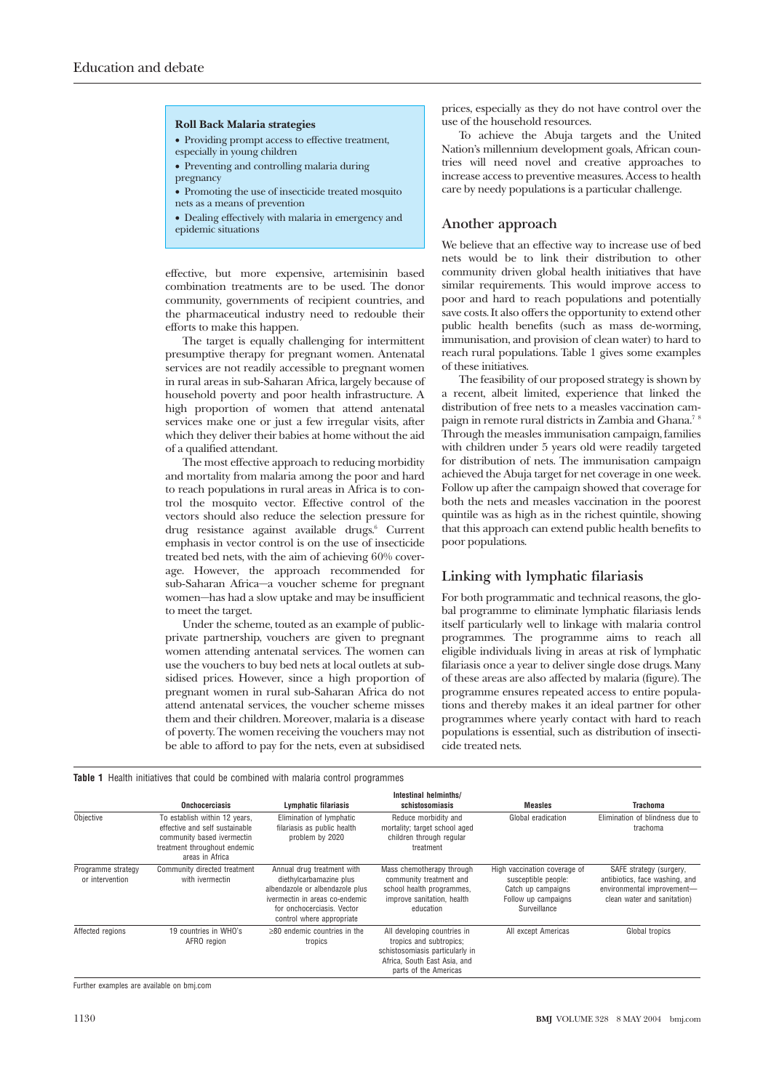#### **Roll Back Malaria strategies**

- Providing prompt access to effective treatment, especially in young children
- Preventing and controlling malaria during
- pregnancy
- Promoting the use of insecticide treated mosquito nets as a means of prevention
- Dealing effectively with malaria in emergency and epidemic situations

effective, but more expensive, artemisinin based combination treatments are to be used. The donor community, governments of recipient countries, and the pharmaceutical industry need to redouble their efforts to make this happen.

The target is equally challenging for intermittent presumptive therapy for pregnant women. Antenatal services are not readily accessible to pregnant women in rural areas in sub-Saharan Africa, largely because of household poverty and poor health infrastructure. A high proportion of women that attend antenatal services make one or just a few irregular visits, after which they deliver their babies at home without the aid of a qualified attendant.

The most effective approach to reducing morbidity and mortality from malaria among the poor and hard to reach populations in rural areas in Africa is to control the mosquito vector. Effective control of the vectors should also reduce the selection pressure for drug resistance against available drugs.<sup>6</sup> Current emphasis in vector control is on the use of insecticide treated bed nets, with the aim of achieving 60% coverage. However, the approach recommended for sub-Saharan Africa—a voucher scheme for pregnant women—has had a slow uptake and may be insufficient to meet the target.

Under the scheme, touted as an example of publicprivate partnership, vouchers are given to pregnant women attending antenatal services. The women can use the vouchers to buy bed nets at local outlets at subsidised prices. However, since a high proportion of pregnant women in rural sub-Saharan Africa do not attend antenatal services, the voucher scheme misses them and their children. Moreover, malaria is a disease of poverty. The women receiving the vouchers may not be able to afford to pay for the nets, even at subsidised prices, especially as they do not have control over the use of the household resources.

To achieve the Abuja targets and the United Nation's millennium development goals, African countries will need novel and creative approaches to increase access to preventive measures. Access to health care by needy populations is a particular challenge.

#### **Another approach**

We believe that an effective way to increase use of bed nets would be to link their distribution to other community driven global health initiatives that have similar requirements. This would improve access to poor and hard to reach populations and potentially save costs. It also offers the opportunity to extend other public health benefits (such as mass de-worming, immunisation, and provision of clean water) to hard to reach rural populations. Table 1 gives some examples of these initiatives.

The feasibility of our proposed strategy is shown by a recent, albeit limited, experience that linked the distribution of free nets to a measles vaccination campaign in remote rural districts in Zambia and Ghana.<sup>78</sup> Through the measles immunisation campaign, families with children under 5 years old were readily targeted for distribution of nets. The immunisation campaign achieved the Abuja target for net coverage in one week. Follow up after the campaign showed that coverage for both the nets and measles vaccination in the poorest quintile was as high as in the richest quintile, showing that this approach can extend public health benefits to poor populations.

### **Linking with lymphatic filariasis**

For both programmatic and technical reasons, the global programme to eliminate lymphatic filariasis lends itself particularly well to linkage with malaria control programmes. The programme aims to reach all eligible individuals living in areas at risk of lymphatic filariasis once a year to deliver single dose drugs. Many of these areas are also affected by malaria (figure). The programme ensures repeated access to entire populations and thereby makes it an ideal partner for other programmes where yearly contact with hard to reach populations is essential, such as distribution of insecticide treated nets.

|                                       | <b>Onchocerciasis</b>                                                                                                                            | <b>Lymphatic filariasis</b>                                                                                                                                                           | Intestinal helminths/<br>schistosomiasis                                                                                                           | Measles                                                                                                          | Trachoma                                                                                                               |
|---------------------------------------|--------------------------------------------------------------------------------------------------------------------------------------------------|---------------------------------------------------------------------------------------------------------------------------------------------------------------------------------------|----------------------------------------------------------------------------------------------------------------------------------------------------|------------------------------------------------------------------------------------------------------------------|------------------------------------------------------------------------------------------------------------------------|
| Obiective                             | To establish within 12 years,<br>effective and self sustainable<br>community based ivermectin<br>treatment throughout endemic<br>areas in Africa | Elimination of lymphatic<br>filariasis as public health<br>problem by 2020                                                                                                            | Reduce morbidity and<br>mortality; target school aged<br>children through regular<br>treatment                                                     | Global eradication                                                                                               | Elimination of blindness due to<br>trachoma                                                                            |
| Programme strategy<br>or intervention | Community directed treatment<br>with ivermectin                                                                                                  | Annual drug treatment with<br>diethylcarbamazine plus<br>albendazole or albendazole plus<br>ivermectin in areas co-endemic<br>for onchocerciasis. Vector<br>control where appropriate | Mass chemotherapy through<br>community treatment and<br>school health programmes,<br>improve sanitation, health<br>education                       | High vaccination coverage of<br>susceptible people:<br>Catch up campaigns<br>Follow up campaigns<br>Surveillance | SAFE strategy (surgery,<br>antibiotics, face washing, and<br>environmental improvement-<br>clean water and sanitation) |
| Affected regions                      | 19 countries in WHO's<br>AFRO region                                                                                                             | $>80$ endemic countries in the<br>tropics                                                                                                                                             | All developing countries in<br>tropics and subtropics;<br>schistosomiasis particularly in<br>Africa, South East Asia, and<br>parts of the Americas | All except Americas                                                                                              | Global tropics                                                                                                         |

**Table 1** Health initiatives that could be combined with malaria control programmes

Further examples are available on bmj.com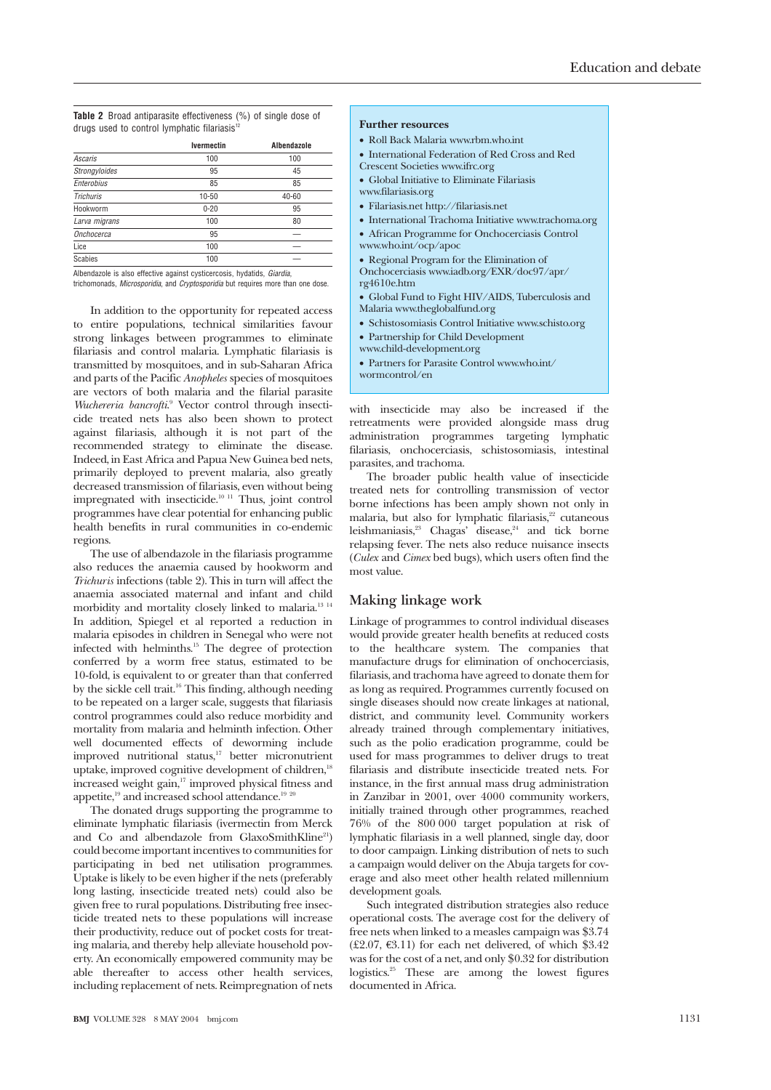**Table 2** Broad antiparasite effectiveness (%) of single dose of drugs used to control lymphatic filariasis<sup>12</sup>

| Ivermectin | Albendazole |  |
|------------|-------------|--|
| 100        | 100         |  |
| 95         | 45          |  |
| 85         | 85          |  |
| $10 - 50$  | 40-60       |  |
| $0 - 20$   | 95          |  |
| 100        | 80          |  |
| 95         |             |  |
| 100        |             |  |
| 100        |             |  |
|            |             |  |

Albendazole is also effective against cysticercosis, hydatids, Giardia,

trichomonads, Microsporidia, and Cryptosporidia but requires more than one dose.

In addition to the opportunity for repeated access to entire populations, technical similarities favour strong linkages between programmes to eliminate filariasis and control malaria. Lymphatic filariasis is transmitted by mosquitoes, and in sub-Saharan Africa and parts of the Pacific *Anopheles* species of mosquitoes are vectors of both malaria and the filarial parasite *Wuchereria bancrofti*. <sup>9</sup> Vector control through insecticide treated nets has also been shown to protect against filariasis, although it is not part of the recommended strategy to eliminate the disease. Indeed, in East Africa and Papua New Guinea bed nets, primarily deployed to prevent malaria, also greatly decreased transmission of filariasis, even without being impregnated with insecticide.<sup>10 11</sup> Thus, joint control programmes have clear potential for enhancing public health benefits in rural communities in co-endemic regions.

The use of albendazole in the filariasis programme also reduces the anaemia caused by hookworm and *Trichuris* infections (table 2). This in turn will affect the anaemia associated maternal and infant and child morbidity and mortality closely linked to malaria.13 14 In addition, Spiegel et al reported a reduction in malaria episodes in children in Senegal who were not infected with helminths.15 The degree of protection conferred by a worm free status, estimated to be 10-fold, is equivalent to or greater than that conferred by the sickle cell trait.16 This finding, although needing to be repeated on a larger scale, suggests that filariasis control programmes could also reduce morbidity and mortality from malaria and helminth infection. Other well documented effects of deworming include improved nutritional status,<sup>17</sup> better micronutrient uptake, improved cognitive development of children,<sup>18</sup> increased weight gain,<sup>17</sup> improved physical fitness and appetite,<sup>19</sup> and increased school attendance.<sup>19</sup> <sup>20</sup>

The donated drugs supporting the programme to eliminate lymphatic filariasis (ivermectin from Merck and Co and albendazole from GlaxoSmithKline<sup>21</sup>) could become important incentives to communities for participating in bed net utilisation programmes. Uptake is likely to be even higher if the nets (preferably long lasting, insecticide treated nets) could also be given free to rural populations. Distributing free insecticide treated nets to these populations will increase their productivity, reduce out of pocket costs for treating malaria, and thereby help alleviate household poverty. An economically empowered community may be able thereafter to access other health services, including replacement of nets. Reimpregnation of nets

## **Further resources**

- Roll Back Malaria www.rbm.who.int
- International Federation of Red Cross and Red
- Crescent Societies www.ifrc.org
- Global Initiative to Eliminate Filariasis
- www.filariasis.org
- Filariasis.net http://filariasis.net
- International Trachoma Initiative www.trachoma.org
- African Programme for Onchocerciasis Control
- www.who.int/ocp/apoc
- Regional Program for the Elimination of Onchocerciasis www.iadb.org/EXR/doc97/apr/
- rg4610e.htm
- Global Fund to Fight HIV/AIDS, Tuberculosis and Malaria www.theglobalfund.org
- Schistosomiasis Control Initiative www.schisto.org
- Partnership for Child Development
- www.child-development.org
- Partners for Parasite Control www.who.int/
- wormcontrol/en

with insecticide may also be increased if the retreatments were provided alongside mass drug administration programmes targeting lymphatic filariasis, onchocerciasis, schistosomiasis, intestinal parasites, and trachoma.

The broader public health value of insecticide treated nets for controlling transmission of vector borne infections has been amply shown not only in malaria, but also for lymphatic filariasis,<sup>22</sup> cutaneous leishmaniasis,<sup>23</sup> Chagas' disease,<sup>24</sup> and tick borne relapsing fever. The nets also reduce nuisance insects (*Culex* and *Cimex* bed bugs), which users often find the most value.

#### **Making linkage work**

Linkage of programmes to control individual diseases would provide greater health benefits at reduced costs to the healthcare system. The companies that manufacture drugs for elimination of onchocerciasis, filariasis, and trachoma have agreed to donate them for as long as required. Programmes currently focused on single diseases should now create linkages at national, district, and community level. Community workers already trained through complementary initiatives, such as the polio eradication programme, could be used for mass programmes to deliver drugs to treat filariasis and distribute insecticide treated nets. For instance, in the first annual mass drug administration in Zanzibar in 2001, over 4000 community workers, initially trained through other programmes, reached 76% of the 800 000 target population at risk of lymphatic filariasis in a well planned, single day, door to door campaign. Linking distribution of nets to such a campaign would deliver on the Abuja targets for coverage and also meet other health related millennium development goals.

Such integrated distribution strategies also reduce operational costs. The average cost for the delivery of free nets when linked to a measles campaign was \$3.74  $(\text{\textsterling}2.07, \text{\textsterling}3.11)$  for each net delivered, of which \$3.42 was for the cost of a net, and only \$0.32 for distribution logistics.25 These are among the lowest figures documented in Africa.